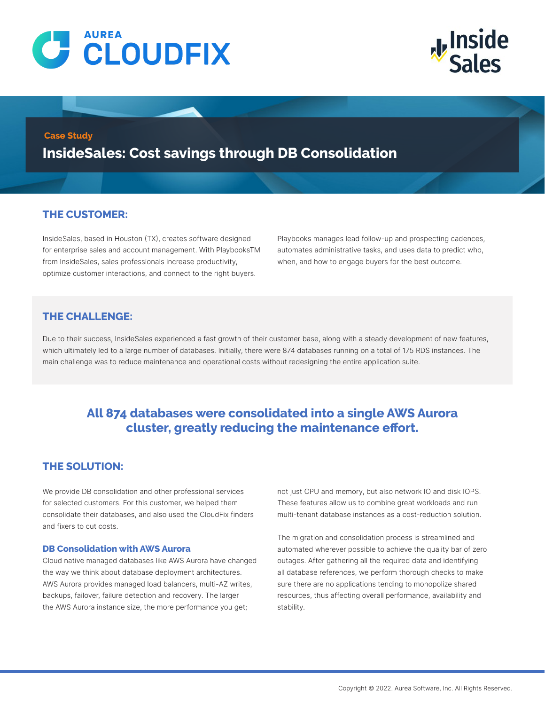



### **Case Study**

**InsideSales: Cost savings through DB Consolidation**

# **THE CUSTOMER:**

InsideSales, based in Houston (TX), creates software designed for enterprise sales and account management. With PlaybooksTM from InsideSales, sales professionals increase productivity, optimize customer interactions, and connect to the right buyers.

Playbooks manages lead follow-up and prospecting cadences, automates administrative tasks, and uses data to predict who, when, and how to engage buyers for the best outcome.

# **THE CHALLENGE:**

Due to their success, InsideSales experienced a fast growth of their customer base, along with a steady development of new features, which ultimately led to a large number of databases. Initially, there were 874 databases running on a total of 175 RDS instances. The main challenge was to reduce maintenance and operational costs without redesigning the entire application suite.

# **All 874 databases were consolidated into a single AWS Aurora cluster, greatly reducing the maintenance effort.**

# **THE SOLUTION:**

We provide DB consolidation and other professional services for selected customers. For this customer, we helped them consolidate their databases, and also used the CloudFix finders and fixers to cut costs.

### **DB Consolidation with AWS Aurora**

Cloud native managed databases like AWS Aurora have changed the way we think about database deployment architectures. AWS Aurora provides managed load balancers, multi-AZ writes, backups, failover, failure detection and recovery. The larger the AWS Aurora instance size, the more performance you get;

not just CPU and memory, but also network IO and disk IOPS. These features allow us to combine great workloads and run multi-tenant database instances as a cost-reduction solution.

The migration and consolidation process is streamlined and automated wherever possible to achieve the quality bar of zero outages. After gathering all the required data and identifying all database references, we perform thorough checks to make sure there are no applications tending to monopolize shared resources, thus affecting overall performance, availability and stability.